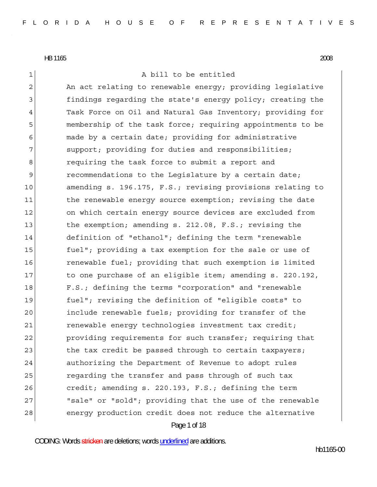1 a bill to be entitled

Page 1 of 18 2 An act relating to renewable energy; providing legislative 3 findings regarding the state's energy policy; creating the 4 Task Force on Oil and Natural Gas Inventory; providing for 5 membership of the task force; requiring appointments to be 6 made by a certain date; providing for administrative 7 Support; providing for duties and responsibilities; 8 8 8 8 requiring the task force to submit a report and 9 recommendations to the Legislature by a certain date; 10 amending s. 196.175, F.S.; revising provisions relating to 11 the renewable energy source exemption; revising the date 12 on which certain energy source devices are excluded from 13 the exemption; amending s. 212.08, F.S.; revising the 14 definition of "ethanol"; defining the term "renewable 15 **fuel";** providing a tax exemption for the sale or use of 16 16 renewable fuel; providing that such exemption is limited 17 to one purchase of an eligible item; amending s. 220.192, 18 F.S.; defining the terms "corporation" and "renewable 19 fuel"; revising the definition of "eligible costs" to 20 include renewable fuels; providing for transfer of the 21 renewable energy technologies investment tax credit; 22 providing requirements for such transfer; requiring that 23 the tax credit be passed through to certain taxpayers; 24 authorizing the Department of Revenue to adopt rules 25 regarding the transfer and pass through of such tax 26 credit; amending s. 220.193, F.S.; defining the term 27 "sale" or "sold"; providing that the use of the renewable 28 energy production credit does not reduce the alternative

CODING: Words stricken are deletions; words underlined are additions.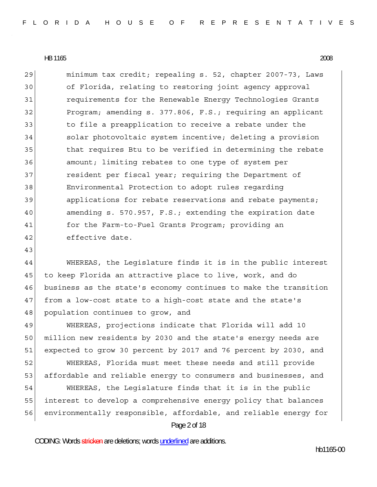29 minimum tax credit; repealing s. 52, chapter 2007-73, Laws 30 of Florida, relating to restoring joint agency approval 31 Tequirements for the Renewable Energy Technologies Grants 32 Program; amending s. 377.806, F.S.; requiring an applicant 33 to file a preapplication to receive a rebate under the 34 solar photovoltaic system incentive; deleting a provision 35 that requires Btu to be verified in determining the rebate 36 amount; limiting rebates to one type of system per 37 **resident per fiscal year; requiring the Department of** 38 Environmental Protection to adopt rules regarding 39 39 applications for rebate reservations and rebate payments; 40 amending s. 570.957, F.S.; extending the expiration date 41 for the Farm-to-Fuel Grants Program; providing an 42 effective date.

43

44 WHEREAS, the Legislature finds it is in the public interest 45 to keep Florida an attractive place to live, work, and do 46 business as the state's economy continues to make the transition 47 from a low-cost state to a high-cost state and the state's 48 population continues to grow, and

49 WHEREAS, projections indicate that Florida will add 10 50 million new residents by 2030 and the state's energy needs are 51 expected to grow 30 percent by 2017 and 76 percent by 2030, and

Page 2 of 18 52 WHEREAS, Florida must meet these needs and still provide 53 affordable and reliable energy to consumers and businesses, and 54 WHEREAS, the Legislature finds that it is in the public 55 interest to develop a comprehensive energy policy that balances 56 environmentally responsible, affordable, and reliable energy for

CODING: Words stricken are deletions; words underlined are additions.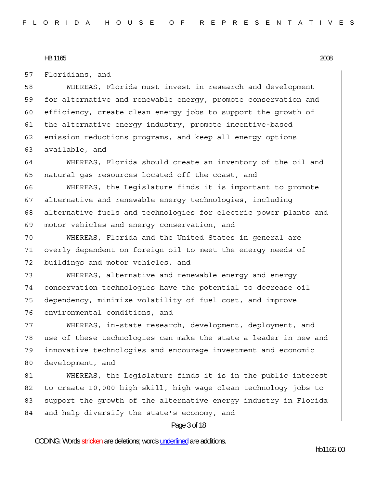57 Floridians, and

58 WHEREAS, Florida must invest in research and development 59 for alternative and renewable energy, promote conservation and 60 efficiency, create clean energy jobs to support the growth of 61 the alternative energy industry, promote incentive-based 62 emission reductions programs, and keep all energy options 63 available, and

64 WHEREAS, Florida should create an inventory of the oil and 65 | natural gas resources located off the coast, and

66 WHEREAS, the Legislature finds it is important to promote 67 alternative and renewable energy technologies, including 68 alternative fuels and technologies for electric power plants and 69 motor vehicles and energy conservation, and

70 WHEREAS, Florida and the United States in general are 71 overly dependent on foreign oil to meet the energy needs of 72 buildings and motor vehicles, and

73 WHEREAS, alternative and renewable energy and energy 74 conservation technologies have the potential to decrease oil 75 dependency, minimize volatility of fuel cost, and improve 76 environmental conditions, and

77 WHEREAS, in-state research, development, deployment, and 78 use of these technologies can make the state a leader in new and 79 innovative technologies and encourage investment and economic 80 development, and

81 WHEREAS, the Legislature finds it is in the public interest 82 to create 10,000 high-skill, high-wage clean technology jobs to 83 support the growth of the alternative energy industry in Florida 84 and help diversify the state's economy, and

# Page 3 of 18

CODING: Words stricken are deletions; words underlined are additions.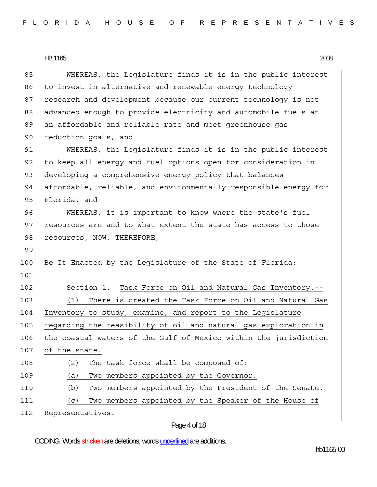85 WHEREAS, the Leqislature finds it is in the public interest 86 to invest in alternative and renewable energy technology 87 research and development because our current technology is not 88 advanced enough to provide electricity and automobile fuels at 89 an affordable and reliable rate and meet greenhouse gas 90 reduction goals, and 91 WHEREAS, the Legislature finds it is in the public interest 92 to keep all energy and fuel options open for consideration in 93 developing a comprehensive energy policy that balances 94 affordable, reliable, and environmentally responsible energy for 95 Florida, and 96 WHEREAS, it is important to know where the state's fuel 97 resources are and to what extent the state has access to those 98 resources, NOW, THEREFORE, 99 100 Be It Enacted by the Legislature of the State of Florida: 101 102 Section 1. Task Force on Oil and Natural Gas Inventory.--103 (1) There is created the Task Force on Oil and Natural Gas 104 Inventory to study, examine, and report to the Legislature 105 regarding the feasibility of oil and natural gas exploration in 106 the coastal waters of the Gulf of Mexico within the jurisdiction 107 of the state. 108 (2) The task force shall be composed of: 109 (a) Two members appointed by the Governor. 110 (b) Two members appointed by the President of the Senate. 111 (c) Two members appointed by the Speaker of the House of 112 Representatives.

## Page 4 of 18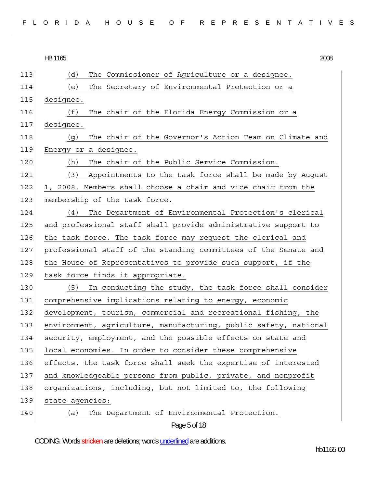|     | HB 1165<br>2008                                                  |
|-----|------------------------------------------------------------------|
| 113 | The Commissioner of Agriculture or a designee.<br>(d)            |
| 114 | The Secretary of Environmental Protection or a<br>(e)            |
| 115 | designee.                                                        |
| 116 | The chair of the Florida Energy Commission or a<br>(f)           |
| 117 | designee.                                                        |
| 118 | The chair of the Governor's Action Team on Climate and<br>(g)    |
| 119 | Energy or a designee.                                            |
| 120 | The chair of the Public Service Commission.<br>(h)               |
| 121 | (3)<br>Appointments to the task force shall be made by August    |
| 122 | 1, 2008. Members shall choose a chair and vice chair from the    |
| 123 | membership of the task force.                                    |
| 124 | (4)<br>The Department of Environmental Protection's clerical     |
| 125 | and professional staff shall provide administrative support to   |
| 126 | the task force. The task force may request the clerical and      |
| 127 | professional staff of the standing committees of the Senate and  |
| 128 | the House of Representatives to provide such support, if the     |
| 129 | task force finds it appropriate.                                 |
| 130 | (5)<br>In conducting the study, the task force shall consider    |
| 131 | comprehensive implications relating to energy, economic          |
| 132 | development, tourism, commercial and recreational fishing, the   |
| 133 | environment, agriculture, manufacturing, public safety, national |
| 134 | security, employment, and the possible effects on state and      |
| 135 | local economies. In order to consider these comprehensive        |
| 136 | effects, the task force shall seek the expertise of interested   |
| 137 | and knowledgeable persons from public, private, and nonprofit    |
| 138 | organizations, including, but not limited to, the following      |
| 139 | state agencies:                                                  |
| 140 | The Department of Environmental Protection.<br>(a)               |
|     |                                                                  |

Page 5 of 18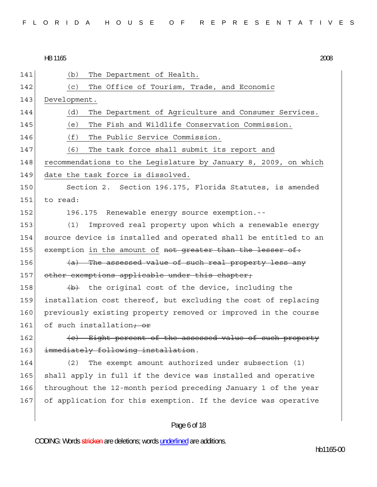|--|

HB 1165 HB 1165 2008

| 141 | The Department of Health.<br>(b)                                   |
|-----|--------------------------------------------------------------------|
| 142 | The Office of Tourism, Trade, and Economic<br>(c)                  |
| 143 | Development.                                                       |
| 144 | (d)<br>The Department of Agriculture and Consumer Services.        |
| 145 | The Fish and Wildlife Conservation Commission.<br>(e)              |
| 146 | The Public Service Commission.<br>(f)                              |
| 147 | The task force shall submit its report and<br>(6)                  |
| 148 | recommendations to the Legislature by January 8, 2009, on which    |
| 149 | date the task force is dissolved.                                  |
| 150 | Section 2. Section 196.175, Florida Statutes, is amended           |
| 151 | to read:                                                           |
| 152 | 196.175 Renewable energy source exemption.--                       |
| 153 | (1)<br>Improved real property upon which a renewable energy        |
| 154 | source device is installed and operated shall be entitled to an    |
| 155 | exemption in the amount of not greater than the lesser of:         |
| 156 | (a) The assessed value of such real property less any              |
| 157 | other exemptions applicable under this chapter,                    |
| 158 | $\overline{\Theta}$ the original cost of the device, including the |
| 159 | installation cost thereof, but excluding the cost of replacing     |
| 160 | previously existing property removed or improved in the course     |
| 161 | of such installation, or                                           |
| 162 | (c) Eight percent of the assessed value of such property           |
| 163 | immediately following installation.                                |
| 164 | The exempt amount authorized under subsection (1)<br>(2)           |
| 165 | shall apply in full if the device was installed and operative      |
| 166 | throughout the 12-month period preceding January 1 of the year     |
| 167 | of application for this exemption. If the device was operative     |
|     |                                                                    |
|     |                                                                    |

# Page 6 of 18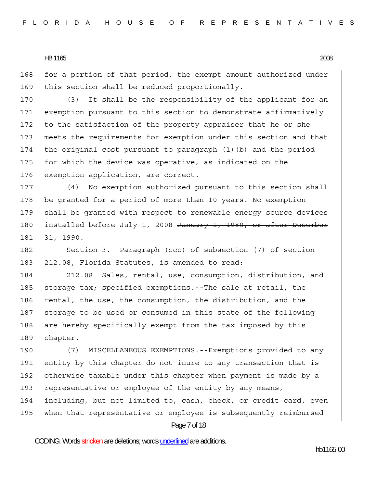168 for a portion of that period, the exempt amount authorized under 169 this section shall be reduced proportionally.

170 (3) It shall be the responsibility of the applicant for an 171 exemption pursuant to this section to demonstrate affirmatively 172 to the satisfaction of the property appraiser that he or she 173 meets the requirements for exemption under this section and that 174 the original cost pursuant to paragraph  $(1)$  (b) and the period 175 for which the device was operative, as indicated on the 176 exemption application, are correct.

177 (4) No exemption authorized pursuant to this section shall 178 be granted for a period of more than 10 years. No exemption 179 shall be granted with respect to renewable energy source devices 180 installed before July 1, 2008 January 1, 1980, or after December  $181 \mid 31, 1990.$ 

182 Section 3. Paragraph (ccc) of subsection (7) of section 183 212.08, Florida Statutes, is amended to read:

184 212.08 Sales, rental, use, consumption, distribution, and 185 storage tax; specified exemptions.--The sale at retail, the 186 rental, the use, the consumption, the distribution, and the 187 storage to be used or consumed in this state of the following 188 are hereby specifically exempt from the tax imposed by this 189 chapter.

190 (7) MISCELLANEOUS EXEMPTIONS.--Exemptions provided to any 191 entity by this chapter do not inure to any transaction that is 192 otherwise taxable under this chapter when payment is made by a 193 representative or employee of the entity by any means, 194 including, but not limited to, cash, check, or credit card, even 195 when that representative or employee is subsequently reimbursed

Page 7 of 18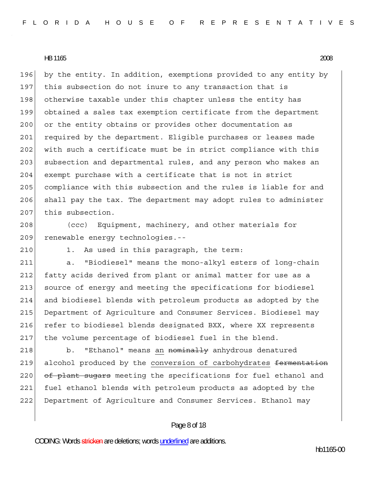196 by the entity. In addition, exemptions provided to any entity by 197 this subsection do not inure to any transaction that is 198 otherwise taxable under this chapter unless the entity has 199 obtained a sales tax exemption certificate from the department 200 or the entity obtains or provides other documentation as 201 required by the department. Eligible purchases or leases made 202 with such a certificate must be in strict compliance with this 203 subsection and departmental rules, and any person who makes an 204 exempt purchase with a certificate that is not in strict 205 compliance with this subsection and the rules is liable for and 206 shall pay the tax. The department may adopt rules to administer 207 this subsection.

208 (ccc) Equipment, machinery, and other materials for 209 renewable energy technologies.--

210 1. As used in this paragraph, the term:

211 a. "Biodiesel" means the mono-alkyl esters of long-chain 212 fatty acids derived from plant or animal matter for use as a 213 source of energy and meeting the specifications for biodiesel 214 and biodiesel blends with petroleum products as adopted by the 215 Department of Agriculture and Consumer Services. Biodiesel may 216 refer to biodiesel blends designated BXX, where XX represents 217 the volume percentage of biodiesel fuel in the blend.

218 b. "Ethanol" means an <del>nominally</del> anhydrous denatured 219 alcohol produced by the conversion of carbohydrates fermentation 220 of plant sugars meeting the specifications for fuel ethanol and 221 fuel ethanol blends with petroleum products as adopted by the 222 Department of Agriculture and Consumer Services. Ethanol may

#### Page 8 of 18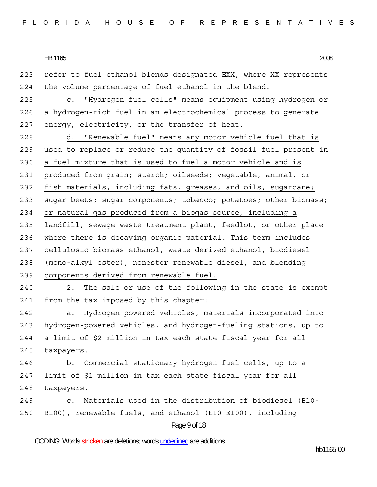223 refer to fuel ethanol blends designated EXX, where XX represents 224 the volume percentage of fuel ethanol in the blend.

225 c. "Hydrogen fuel cells" means equipment using hydrogen or 226 a hydrogen-rich fuel in an electrochemical process to generate 227 energy, electricity, or the transfer of heat.

228 d. "Renewable fuel" means any motor vehicle fuel that is 229 used to replace or reduce the quantity of fossil fuel present in 230 a fuel mixture that is used to fuel a motor vehicle and is 231 produced from grain; starch; oilseeds; vegetable, animal, or 232 fish materials, including fats, greases, and oils; sugarcane; 233 sugar beets; sugar components; tobacco; potatoes; other biomass; 234 or natural gas produced from a biogas source, including a 235 landfill, sewage waste treatment plant, feedlot, or other place 236 where there is decaying organic material. This term includes 237 cellulosic biomass ethanol, waste-derived ethanol, biodiesel 238 (mono-alkyl ester), nonester renewable diesel, and blending 239 components derived from renewable fuel.

240 2. The sale or use of the following in the state is exempt 241 from the tax imposed by this chapter:

242 a. Hydrogen-powered vehicles, materials incorporated into 243 hydrogen-powered vehicles, and hydrogen-fueling stations, up to 244 a limit of \$2 million in tax each state fiscal year for all 245 taxpayers.

246 b. Commercial stationary hydrogen fuel cells, up to a 247 limit of \$1 million in tax each state fiscal year for all 248 taxpayers.

249 c. Materials used in the distribution of biodiesel (B10- 250 B100), renewable fuels, and ethanol (E10-E100), including

Page 9 of 18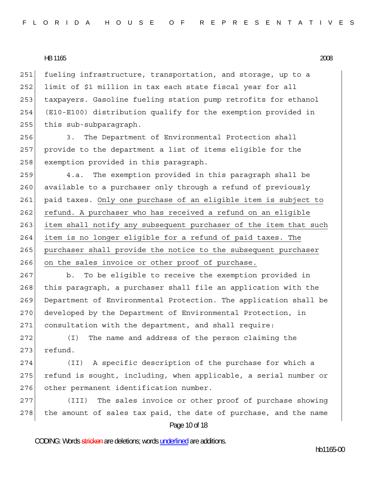251 fueling infrastructure, transportation, and storage, up to a 252 limit of \$1 million in tax each state fiscal year for all 253 taxpayers. Gasoline fueling station pump retrofits for ethanol 254 (E10-E100) distribution qualify for the exemption provided in 255 this sub-subparagraph.

256 3. The Department of Environmental Protection shall 257 provide to the department a list of items eligible for the 258 exemption provided in this paragraph.

259 4.a. The exemption provided in this paragraph shall be 260 available to a purchaser only through a refund of previously 261 paid taxes. Only one purchase of an eligible item is subject to 262 refund. A purchaser who has received a refund on an eligible 263 item shall notify any subsequent purchaser of the item that such 264 item is no longer eligible for a refund of paid taxes. The 265 purchaser shall provide the notice to the subsequent purchaser 266 on the sales invoice or other proof of purchase.

267 b. To be eligible to receive the exemption provided in 268 this paragraph, a purchaser shall file an application with the 269 Department of Environmental Protection. The application shall be 270 developed by the Department of Environmental Protection, in 271 consultation with the department, and shall require:

272 (I) The name and address of the person claiming the  $273$  refund.

274 (II) A specific description of the purchase for which a 275 refund is sought, including, when applicable, a serial number or 276 other permanent identification number.

Page 10 of 18 277 (III) The sales invoice or other proof of purchase showing  $278$  the amount of sales tax paid, the date of purchase, and the name

CODING: Words stricken are deletions; words underlined are additions.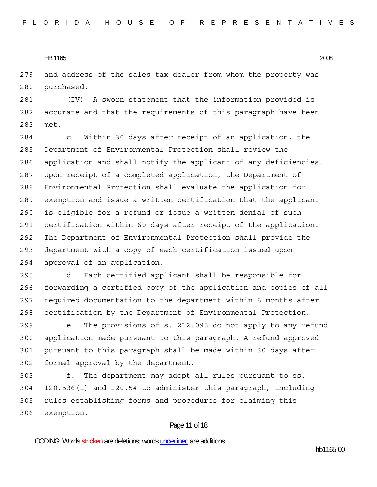279 and address of the sales tax dealer from whom the property was 280 purchased.

281 (IV) A sworn statement that the information provided is 282 accurate and that the requirements of this paragraph have been 283 met.

284 c. Within 30 days after receipt of an application, the 285 Department of Environmental Protection shall review the 286 application and shall notify the applicant of any deficiencies. 287 Upon receipt of a completed application, the Department of 288 Environmental Protection shall evaluate the application for 289 exemption and issue a written certification that the applicant 290 is eligible for a refund or issue a written denial of such 291 certification within 60 days after receipt of the application. 292 The Department of Environmental Protection shall provide the 293 department with a copy of each certification issued upon 294 approval of an application.

295 d. Each certified applicant shall be responsible for 296 forwarding a certified copy of the application and copies of all 297 required documentation to the department within 6 months after 298 certification by the Department of Environmental Protection.

299 e. The provisions of s. 212.095 do not apply to any refund 300 application made pursuant to this paragraph. A refund approved 301 pursuant to this paragraph shall be made within 30 days after 302 formal approval by the department.

303 f. The department may adopt all rules pursuant to ss. 304 120.536(1) and 120.54 to administer this paragraph, including 305 rules establishing forms and procedures for claiming this 306 exemption.

## Page 11 of 18

CODING: Words stricken are deletions; words underlined are additions.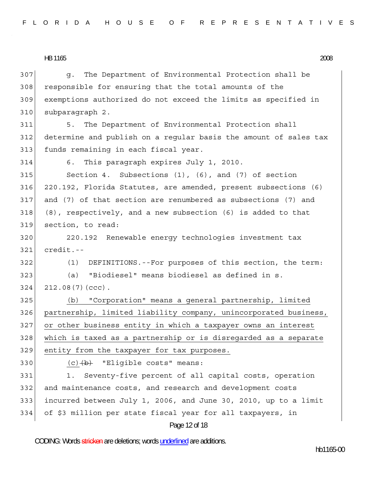307 g. The Department of Environmental Protection shall be 308 responsible for ensuring that the total amounts of the 309 exemptions authorized do not exceed the limits as specified in 310 subparagraph 2.

311 5. The Department of Environmental Protection shall 312 determine and publish on a regular basis the amount of sales tax 313 funds remaining in each fiscal year.

314 6. This paragraph expires July 1, 2010.

315 Section 4. Subsections (1), (6), and (7) of section 316 220.192, Florida Statutes, are amended, present subsections (6) 317 and (7) of that section are renumbered as subsections (7) and  $318$  (8), respectively, and a new subsection (6) is added to that 319 section, to read:

320 220.192 Renewable energy technologies investment tax  $321$  credit.--

322 (1) DEFINITIONS.--For purposes of this section, the term:

323 (a) "Biodiesel" means biodiesel as defined in s.

 $324$   $212.08(7)(ccc)$ .

325 (b) "Corporation" means a general partnership, limited 326 partnership, limited liability company, unincorporated business, 327 or other business entity in which a taxpayer owns an interest 328 which is taxed as a partnership or is disregarded as a separate 329 entity from the taxpayer for tax purposes.

 $330$  (c)  $\langle b \rangle$  "Eligible costs" means:

331 1. Seventy-five percent of all capital costs, operation 332 and maintenance costs, and research and development costs 333 incurred between July 1, 2006, and June 30, 2010, up to a limit 334 of \$3 million per state fiscal year for all taxpayers, in

Page 12 of 18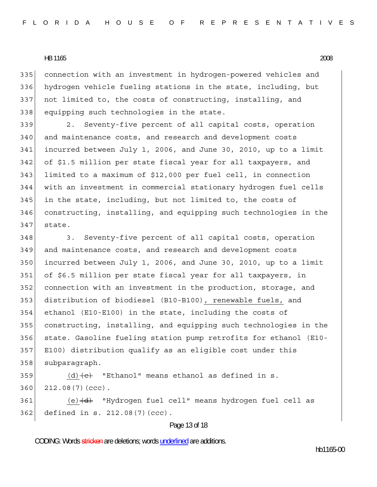335 connection with an investment in hydrogen-powered vehicles and 336 hydrogen vehicle fueling stations in the state, including, but 337 not limited to, the costs of constructing, installing, and 338 equipping such technologies in the state.

339 2. Seventy-five percent of all capital costs, operation 340 and maintenance costs, and research and development costs 341 incurred between July 1, 2006, and June 30, 2010, up to a limit 342 of \$1.5 million per state fiscal year for all taxpayers, and 343 limited to a maximum of \$12,000 per fuel cell, in connection 344 with an investment in commercial stationary hydrogen fuel cells 345 in the state, including, but not limited to, the costs of 346 constructing, installing, and equipping such technologies in the 347 state.

348 348 3. Seventy-five percent of all capital costs, operation 349 and maintenance costs, and research and development costs 350 incurred between July 1, 2006, and June 30, 2010, up to a limit 351 of \$6.5 million per state fiscal year for all taxpayers, in 352 connection with an investment in the production, storage, and 353 distribution of biodiesel (B10-B100), renewable fuels, and 354 ethanol (E10-E100) in the state, including the costs of 355 constructing, installing, and equipping such technologies in the 356 state. Gasoline fueling station pump retrofits for ethanol (E10- 357 E100) distribution qualify as an eligible cost under this 358 subparagraph.

359  $(d)$  (d)  $\left(e\right)$  "Ethanol" means ethanol as defined in s.  $360$   $212.08(7)(ccc)$ .

361  $(e)$   $(d)$  "Hydrogen fuel cell" means hydrogen fuel cell as 362 defined in s. 212.08(7)(ccc).

#### Page 13 of 18

CODING: Words stricken are deletions; words underlined are additions.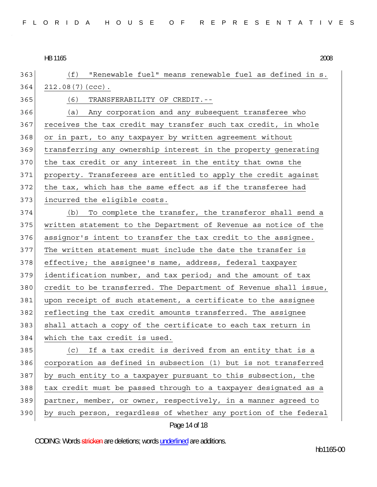363 (f) "Renewable fuel" means renewable fuel as defined in s.  $364$   $212.08(7)(ccc)$ . 365 (6) TRANSFERABILITY OF CREDIT.-- 366 (a) Any corporation and any subsequent transferee who 367 receives the tax credit may transfer such tax credit, in whole 368 or in part, to any taxpayer by written agreement without 369 transferring any ownership interest in the property generating 370 the tax credit or any interest in the entity that owns the 371 property. Transferees are entitled to apply the credit against 372 the tax, which has the same effect as if the transferee had 373 incurred the eligible costs. 374 (b) To complete the transfer, the transferor shall send a 375 written statement to the Department of Revenue as notice of the 376 assignor's intent to transfer the tax credit to the assignee. 377 The written statement must include the date the transfer is 378 effective; the assignee's name, address, federal taxpayer 379 identification number, and tax period; and the amount of tax 380 credit to be transferred. The Department of Revenue shall issue, 381 upon receipt of such statement, a certificate to the assignee 382 reflecting the tax credit amounts transferred. The assignee 383 shall attach a copy of the certificate to each tax return in 384 which the tax credit is used. 385 (c) If a tax credit is derived from an entity that is a 386 corporation as defined in subsection (1) but is not transferred 387 by such entity to a taxpayer pursuant to this subsection, the 388 tax credit must be passed through to a taxpayer designated as a 389 partner, member, or owner, respectively, in a manner agreed to 390 by such person, regardless of whether any portion of the federal

# Page 14 of 18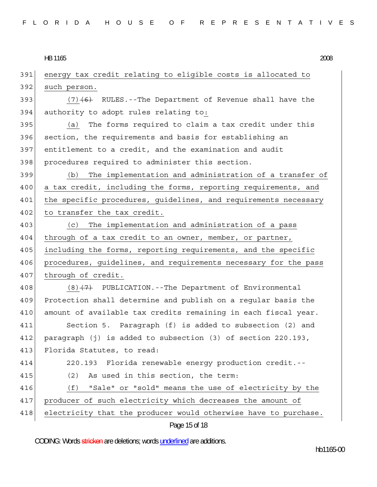391 energy tax credit relating to eligible costs is allocated to 392 such person. 393  $(7)$   $(6)$  RULES.--The Department of Revenue shall have the 394 authority to adopt rules relating to: 395 (a) The forms required to claim a tax credit under this 396 section, the requirements and basis for establishing an 397 entitlement to a credit, and the examination and audit 398 procedures required to administer this section. 399 (b) The implementation and administration of a transfer of 400 a tax credit, including the forms, reporting requirements, and 401 the specific procedures, guidelines, and requirements necessary 402 to transfer the tax credit. 403 (c) The implementation and administration of a pass 404 through of a tax credit to an owner, member, or partner, 405 including the forms, reporting requirements, and the specific 406 procedures, guidelines, and requirements necessary for the pass 407 through of credit. 408  $(8)$   $\left(7\right)$  PUBLICATION.--The Department of Environmental 409 Protection shall determine and publish on a regular basis the 410 amount of available tax credits remaining in each fiscal year. 411 Section 5. Paragraph (f) is added to subsection (2) and 412 paragraph  $(i)$  is added to subsection  $(3)$  of section 220.193, 413 Florida Statutes, to read: 414 220.193 Florida renewable energy production credit.-- 415 (2) As used in this section, the term: 416 (f) "Sale" or "sold" means the use of electricity by the 417 producer of such electricity which decreases the amount of 418 electricity that the producer would otherwise have to purchase.

## Page 15 of 18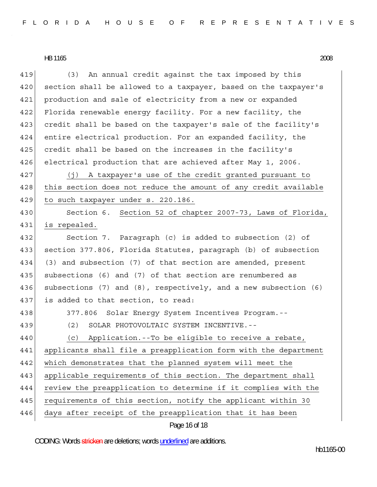| 419 | An annual credit against the tax imposed by this<br>(3)         |
|-----|-----------------------------------------------------------------|
| 420 | section shall be allowed to a taxpayer, based on the taxpayer's |
| 421 | production and sale of electricity from a new or expanded       |
| 422 | Florida renewable energy facility. For a new facility, the      |
| 423 | credit shall be based on the taxpayer's sale of the facility's  |
| 424 | entire electrical production. For an expanded facility, the     |
| 425 | credit shall be based on the increases in the facility's        |
| 426 | electrical production that are achieved after May 1, 2006.      |
| 427 | (j) A taxpayer's use of the credit granted pursuant to          |
| 428 | this section does not reduce the amount of any credit available |
| 429 | to such taxpayer under s. 220.186.                              |
| 430 | Section 6. Section 52 of chapter 2007-73, Laws of Florida,      |
| 431 | is repealed.                                                    |
| 432 | Section 7. Paragraph (c) is added to subsection (2) of          |
| 433 | section 377.806, Florida Statutes, paragraph (b) of subsection  |
| 434 | (3) and subsection (7) of that section are amended, present     |
| 435 | subsections (6) and (7) of that section are renumbered as       |
| 436 | subsections (7) and (8), respectively, and a new subsection (6) |
| 437 | is added to that section, to read:                              |
| 438 | 377.806 Solar Energy System Incentives Program.--               |
| 439 | SOLAR PHOTOVOLTAIC SYSTEM INCENTIVE.--<br>(2)                   |
| 440 | Application.--To be eligible to receive a rebate,<br>(c)        |
| 441 | applicants shall file a preapplication form with the department |
| 442 | which demonstrates that the planned system will meet the        |
| 443 | applicable requirements of this section. The department shall   |
| 444 | review the preapplication to determine if it complies with the  |
| 445 | requirements of this section, notify the applicant within 30    |
| 446 | days after receipt of the preapplication that it has been       |
|     | Page 16 of 18                                                   |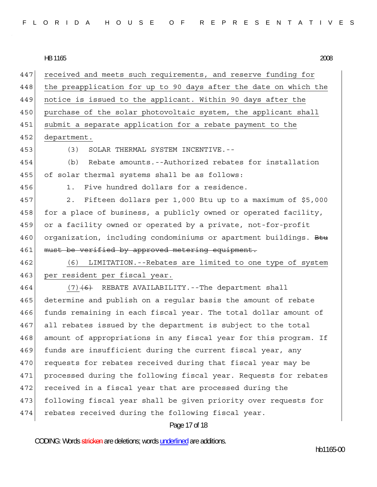|  |  |  |  |  |  |  |  |  |  |  |  | FLORIDA HOUSE OF REPRESENTATIVES |  |  |  |  |  |  |  |  |  |  |  |  |  |  |  |  |  |
|--|--|--|--|--|--|--|--|--|--|--|--|----------------------------------|--|--|--|--|--|--|--|--|--|--|--|--|--|--|--|--|--|
|--|--|--|--|--|--|--|--|--|--|--|--|----------------------------------|--|--|--|--|--|--|--|--|--|--|--|--|--|--|--|--|--|

HB 1165 HB 1165 2008

| 447 | received and meets such requirements, and reserve funding for       |
|-----|---------------------------------------------------------------------|
| 448 | the preapplication for up to 90 days after the date on which the    |
| 449 | notice is issued to the applicant. Within 90 days after the         |
| 450 | purchase of the solar photovoltaic system, the applicant shall      |
| 451 | submit a separate application for a rebate payment to the           |
| 452 | department.                                                         |
| 453 | SOLAR THERMAL SYSTEM INCENTIVE.--<br>(3)                            |
| 454 | Rebate amounts.--Authorized rebates for installation<br>(b)         |
| 455 | of solar thermal systems shall be as follows:                       |
| 456 | Five hundred dollars for a residence.<br>1.                         |
| 457 | Fifteen dollars per 1,000 Btu up to a maximum of \$5,000<br>2.      |
| 458 | for a place of business, a publicly owned or operated facility,     |
| 459 | or a facility owned or operated by a private, not-for-profit        |
| 460 | organization, including condominiums or apartment buildings. Btu    |
| 461 | must be verified by approved metering equipment.                    |
| 462 | LIMITATION.--Rebates are limited to one type of system<br>(6)       |
| 463 | per resident per fiscal year.                                       |
| 464 | $(7)$ $(6)$ REBATE AVAILABILITY. --The department shall             |
| 465 | determine and publish on a regular basis the amount of rebate       |
| 466 | funds remaining in each fiscal year. The total dollar amount of     |
| 467 | all rebates issued by the department is subject to the total        |
| 468 | amount of appropriations in any fiscal year for this program.<br>Ιf |
| 469 | funds are insufficient during the current fiscal year, any          |
| 470 | requests for rebates received during that fiscal year may be        |
| 471 | processed during the following fiscal year. Requests for rebates    |
| 472 | received in a fiscal year that are processed during the             |
| 473 | following fiscal year shall be given priority over requests for     |
| 474 | rebates received during the following fiscal year.                  |
|     | Page 17 of 18                                                       |